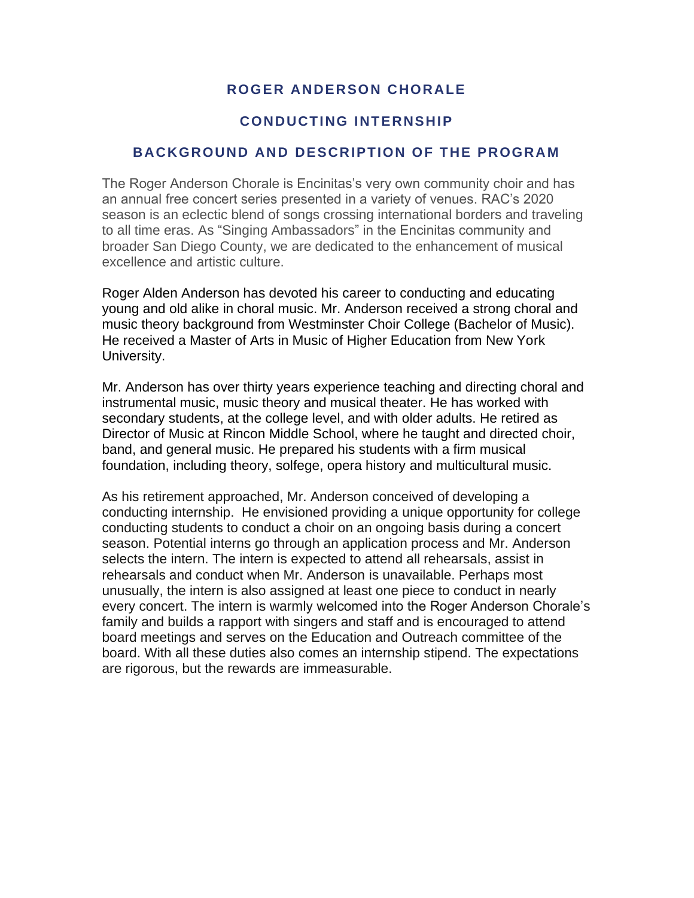# **ROGER ANDERSON CHORALE**

### **CONDUCTING INTERNSHIP**

#### **BACKGROUND AND DESCRIPTION OF THE PROGRAM**

The Roger Anderson Chorale is Encinitas's very own community choir and has an annual free concert series presented in a variety of venues. RAC's 2020 season is an eclectic blend of songs crossing international borders and traveling to all time eras. As "Singing Ambassadors" in the Encinitas community and broader San Diego County, we are dedicated to the enhancement of musical excellence and artistic culture.

Roger Alden Anderson has devoted his career to conducting and educating young and old alike in choral music. Mr. Anderson received a strong choral and music theory background from Westminster Choir College (Bachelor of Music). He received a Master of Arts in Music of Higher Education from New York University.

Mr. Anderson has over thirty years experience teaching and directing choral and instrumental music, music theory and musical theater. He has worked with secondary students, at the college level, and with older adults. He retired as Director of Music at Rincon Middle School, where he taught and directed choir, band, and general music. He prepared his students with a firm musical foundation, including theory, solfege, opera history and multicultural music.

As his retirement approached, Mr. Anderson conceived of developing a conducting internship. He envisioned providing a unique opportunity for college conducting students to conduct a choir on an ongoing basis during a concert season. Potential interns go through an application process and Mr. Anderson selects the intern. The intern is expected to attend all rehearsals, assist in rehearsals and conduct when Mr. Anderson is unavailable. Perhaps most unusually, the intern is also assigned at least one piece to conduct in nearly every concert. The intern is warmly welcomed into the Roger Anderson Chorale's family and builds a rapport with singers and staff and is encouraged to attend board meetings and serves on the Education and Outreach committee of the board. With all these duties also comes an internship stipend. The expectations are rigorous, but the rewards are immeasurable.